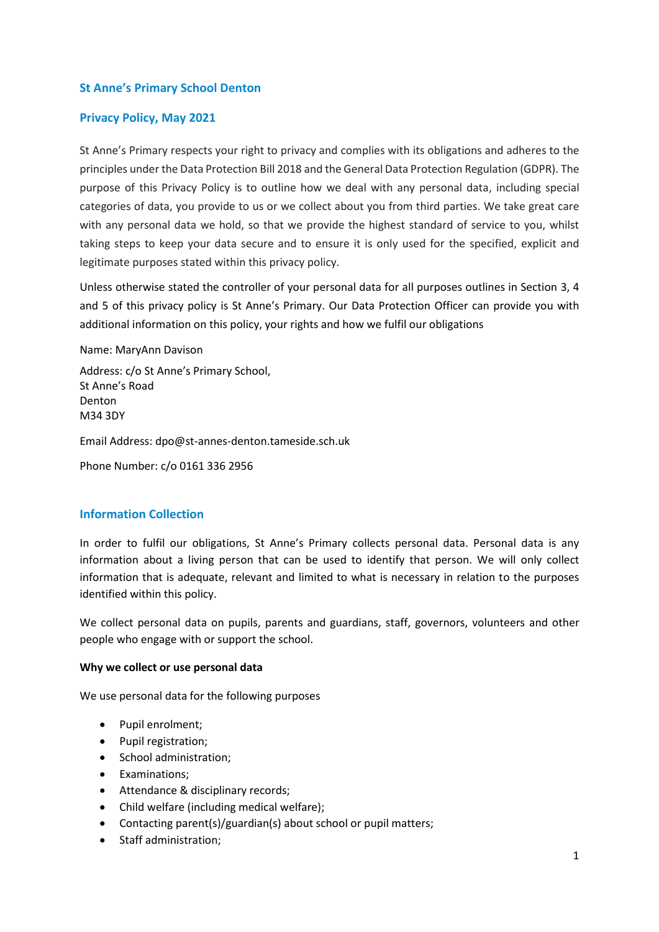#### **St Anne's Primary School Denton**

#### **Privacy Policy, May 2021**

St Anne's Primary respects your right to privacy and complies with its obligations and adheres to the principles under the Data Protection Bill 2018 and the General Data Protection Regulation (GDPR). The purpose of this Privacy Policy is to outline how we deal with any personal data, including special categories of data, you provide to us or we collect about you from third parties. We take great care with any personal data we hold, so that we provide the highest standard of service to you, whilst taking steps to keep your data secure and to ensure it is only used for the specified, explicit and legitimate purposes stated within this privacy policy.

Unless otherwise stated the controller of your personal data for all purposes outlines in Section 3, 4 and 5 of this privacy policy is St Anne's Primary. Our Data Protection Officer can provide you with additional information on this policy, your rights and how we fulfil our obligations

Name: MaryAnn Davison

Address: c/o St Anne's Primary School, St Anne's Road Denton M34 3DY

Email Address: dpo@st-annes-denton.tameside.sch.uk

Phone Number: c/o 0161 336 2956

#### **Information Collection**

In order to fulfil our obligations, St Anne's Primary collects personal data. Personal data is any information about a living person that can be used to identify that person. We will only collect information that is adequate, relevant and limited to what is necessary in relation to the purposes identified within this policy.

We collect personal data on pupils, parents and guardians, staff, governors, volunteers and other people who engage with or support the school.

#### **Why we collect or use personal data**

We use personal data for the following purposes

- Pupil enrolment;
- Pupil registration;
- School administration:
- Examinations:
- Attendance & disciplinary records;
- Child welfare (including medical welfare);
- Contacting parent(s)/guardian(s) about school or pupil matters;
- Staff administration;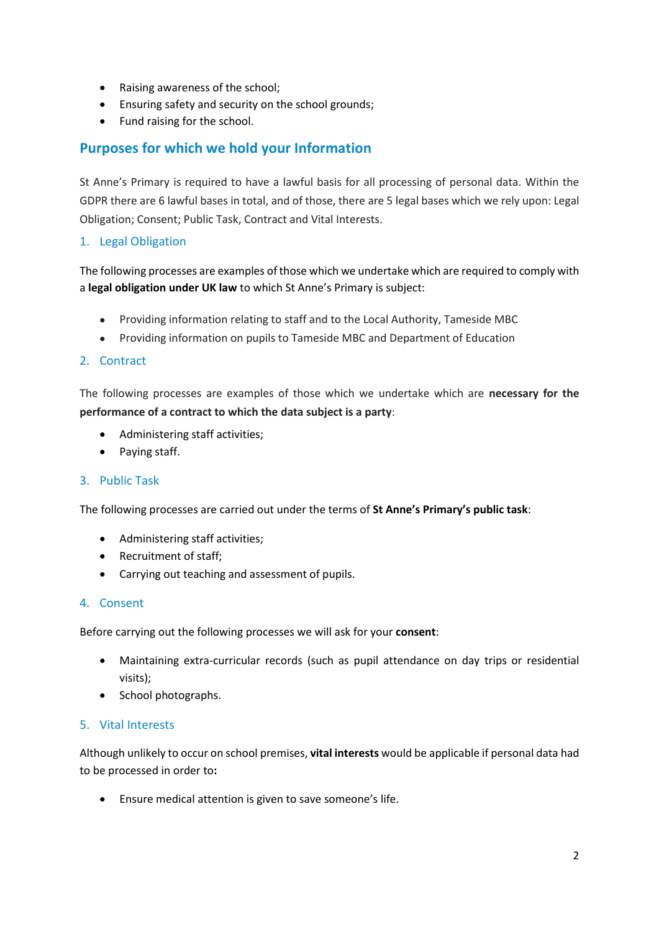- Raising awareness of the school;
- Ensuring safety and security on the school grounds;
- Fund raising for the school.

## **Purposes for which we hold your Information**

St Anne's Primary is required to have a lawful basis for all processing of personal data. Within the GDPR there are 6 lawful bases in total, and of those, there are 5 legal bases which we rely upon: Legal Obligation; Consent; Public Task, Contract and Vital Interests.

### 1. Legal Obligation

The following processes are examples of those which we undertake which are required to comply with a **legal obligation under UK law** to which St Anne's Primary is subject:

- Providing information relating to staff and to the Local Authority, Tameside MBC
- Providing information on pupils to Tameside MBC and Department of Education

#### 2. Contract

The following processes are examples of those which we undertake which are **necessary for the performance of a contract to which the data subject is a party**:

- Administering staff activities;
- Paying staff.

#### 3. Public Task

The following processes are carried out under the terms of **St Anne's Primary's public task**:

- Administering staff activities;
- Recruitment of staff;
- Carrying out teaching and assessment of pupils.

#### 4. Consent

Before carrying out the following processes we will ask for your **consent**:

- Maintaining extra-curricular records (such as pupil attendance on day trips or residential visits);
- School photographs.

#### 5. Vital Interests

Although unlikely to occur on school premises, **vital interests** would be applicable if personal data had to be processed in order to**:**

Ensure medical attention is given to save someone's life.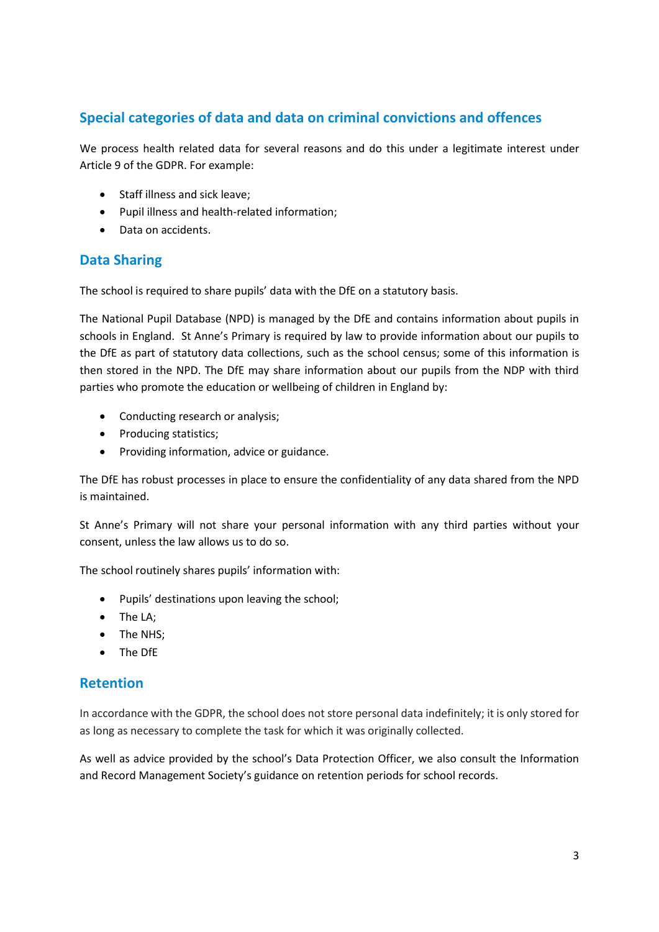## **Special categories of data and data on criminal convictions and offences**

We process health related data for several reasons and do this under a legitimate interest under Article 9 of the GDPR. For example:

- Staff illness and sick leave;
- Pupil illness and health-related information;
- Data on accidents.

## **Data Sharing**

The school is required to share pupils' data with the DfE on a statutory basis.

The National Pupil Database (NPD) is managed by the DfE and contains information about pupils in schools in England. St Anne's Primary is required by law to provide information about our pupils to the DfE as part of statutory data collections, such as the school census; some of this information is then stored in the NPD. The DfE may share information about our pupils from the NDP with third parties who promote the education or wellbeing of children in England by:

- Conducting research or analysis;
- Producing statistics;
- Providing information, advice or guidance.

The DfE has robust processes in place to ensure the confidentiality of any data shared from the NPD is maintained.

St Anne's Primary will not share your personal information with any third parties without your consent, unless the law allows us to do so.

The school routinely shares pupils' information with:

- Pupils' destinations upon leaving the school;
- The LA;
- The NHS:
- The DfE

## **Retention**

In accordance with the GDPR, the school does not store personal data indefinitely; it is only stored for as long as necessary to complete the task for which it was originally collected.

As well as advice provided by the school's Data Protection Officer, we also consult the Information and Record Management Society's guidance on retention periods for school records.